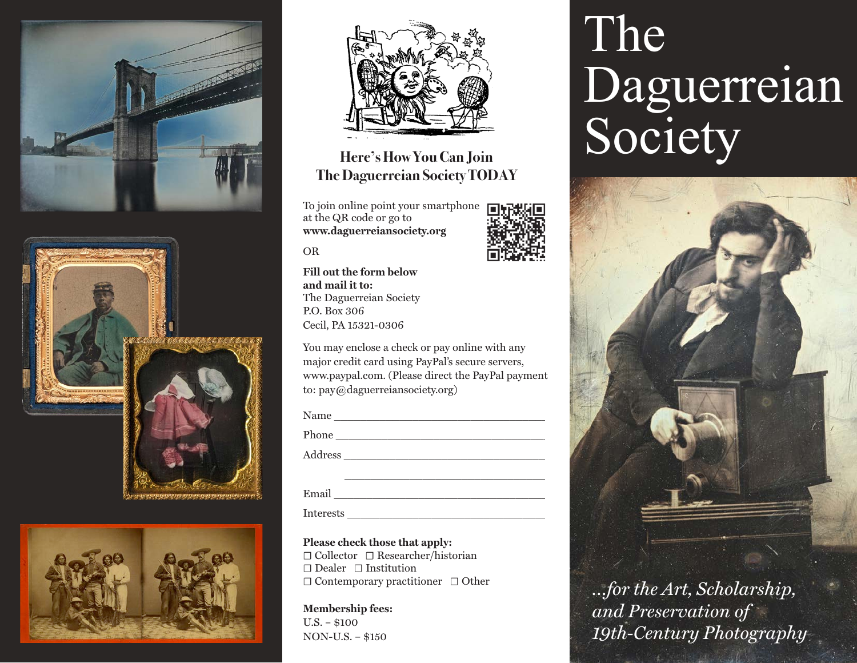







## **Here's How You Can Join The Daguerreian Society TODAY**

To join online point your smartphone  $\Box$ at the QR code or go to **www.daguerreiansociety.org**



OR

**Fill out the form below and mail it to:** The Daguerreian Society P.O. Box 306 Cecil, PA 15321-0306

You may enclose a check or pay online with any major credit card using PayPal's secure servers, www.paypal.com. (Please direct the PayPal payment to: pay@daguerreiansociety.org)

Name \_\_\_\_\_\_\_\_\_\_\_\_\_\_\_\_\_\_\_\_\_\_\_\_\_\_\_\_\_\_\_\_\_

Phone \_\_\_\_\_\_\_\_\_\_\_\_\_\_\_\_\_\_\_\_\_\_\_\_\_\_\_\_\_\_\_\_\_

Address \_\_\_\_\_\_\_\_\_\_\_\_\_\_\_\_\_\_\_\_\_\_\_\_\_\_\_\_\_\_\_

Email \_\_\_\_\_\_\_\_\_\_\_\_\_\_\_\_\_\_\_\_\_\_\_\_\_\_\_\_\_\_\_\_\_

Interests \_\_\_\_\_\_\_\_\_\_\_\_\_\_\_\_\_\_\_\_\_\_\_\_\_\_\_\_\_\_\_

**Please check those that apply:**  ☐ Collector ☐ Researcher/historian ☐ Dealer ☐ Institution ☐ Contemporary practitioner ☐ Other

**Membership fees:** U.S. – \$100 NON-U.S. – \$150

# The Daguerreian Society



*…for the Art, Scholarship, and Preservation of 19th-Century Photography*